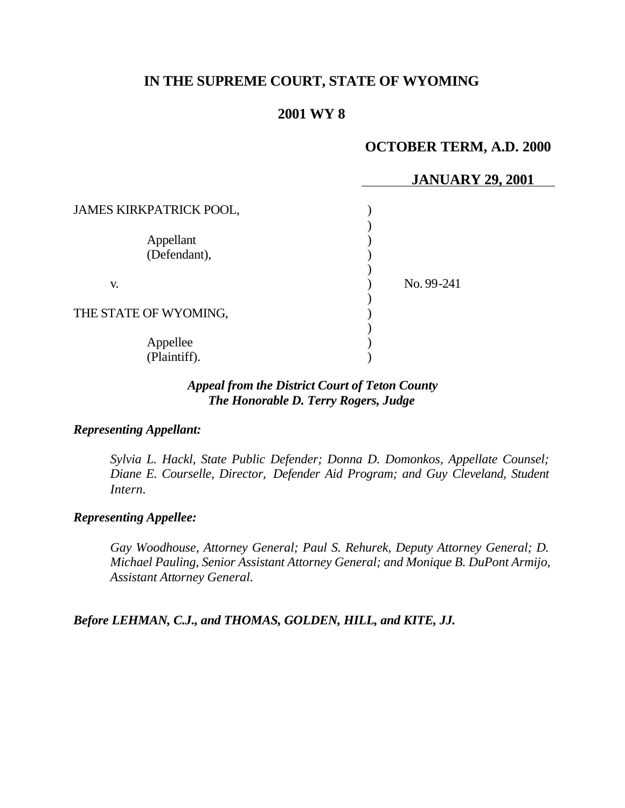# **IN THE SUPREME COURT, STATE OF WYOMING**

## **2001 WY 8**

### **OCTOBER TERM, A.D. 2000**

|                                | <b>JANUARY 29, 2001</b> |
|--------------------------------|-------------------------|
| <b>JAMES KIRKPATRICK POOL,</b> |                         |
|                                |                         |
| Appellant                      |                         |
| (Defendant),                   |                         |
|                                |                         |
| V.                             | No. 99-241              |
|                                |                         |
| THE STATE OF WYOMING,          |                         |
|                                |                         |
| Appellee                       |                         |
| (Plaintiff).                   |                         |

### *Appeal from the District Court of Teton County The Honorable D. Terry Rogers, Judge*

#### *Representing Appellant:*

*Sylvia L. Hackl, State Public Defender; Donna D. Domonkos, Appellate Counsel; Diane E. Courselle, Director, Defender Aid Program; and Guy Cleveland, Student Intern.*

### *Representing Appellee:*

*Gay Woodhouse, Attorney General; Paul S. Rehurek, Deputy Attorney General; D. Michael Pauling, Senior Assistant Attorney General; and Monique B. DuPont Armijo, Assistant Attorney General.*

*Before LEHMAN, C.J., and THOMAS, GOLDEN, HILL, and KITE, JJ.*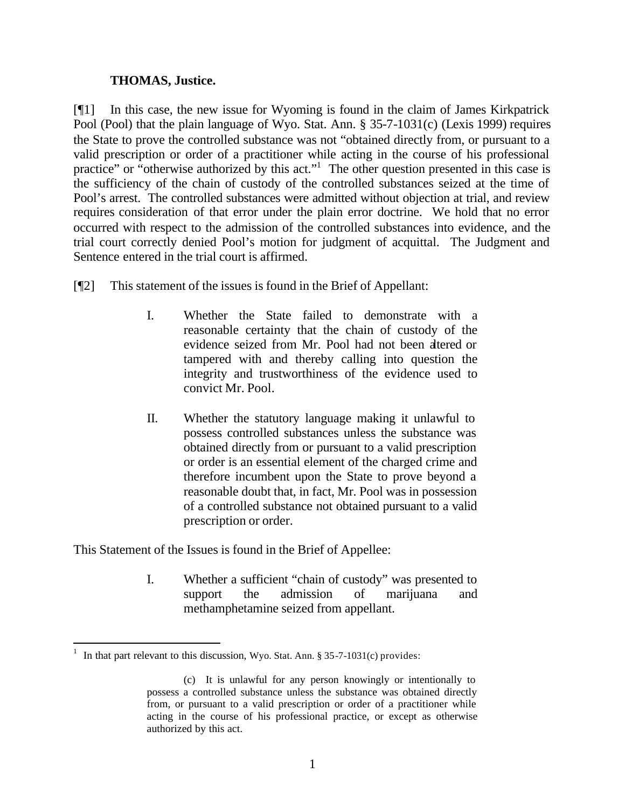#### **THOMAS, Justice.**

[¶1] In this case, the new issue for Wyoming is found in the claim of James Kirkpatrick Pool (Pool) that the plain language of Wyo. Stat. Ann. § 35-7-1031(c) (Lexis 1999) requires the State to prove the controlled substance was not "obtained directly from, or pursuant to a valid prescription or order of a practitioner while acting in the course of his professional practice" or "otherwise authorized by this act."<sup>1</sup> The other question presented in this case is the sufficiency of the chain of custody of the controlled substances seized at the time of Pool's arrest. The controlled substances were admitted without objection at trial, and review requires consideration of that error under the plain error doctrine. We hold that no error occurred with respect to the admission of the controlled substances into evidence, and the trial court correctly denied Pool's motion for judgment of acquittal. The Judgment and Sentence entered in the trial court is affirmed.

- [¶2] This statement of the issues is found in the Brief of Appellant:
	- I. Whether the State failed to demonstrate with a reasonable certainty that the chain of custody of the evidence seized from Mr. Pool had not been altered or tampered with and thereby calling into question the integrity and trustworthiness of the evidence used to convict Mr. Pool.
	- II. Whether the statutory language making it unlawful to possess controlled substances unless the substance was obtained directly from or pursuant to a valid prescription or order is an essential element of the charged crime and therefore incumbent upon the State to prove beyond a reasonable doubt that, in fact, Mr. Pool was in possession of a controlled substance not obtained pursuant to a valid prescription or order.

This Statement of the Issues is found in the Brief of Appellee:

I. Whether a sufficient "chain of custody" was presented to support the admission of marijuana and methamphetamine seized from appellant.

l

<sup>1</sup> In that part relevant to this discussion, Wyo. Stat. Ann. § 35-7-1031(c) provides:

<sup>(</sup>c) It is unlawful for any person knowingly or intentionally to possess a controlled substance unless the substance was obtained directly from, or pursuant to a valid prescription or order of a practitioner while acting in the course of his professional practice, or except as otherwise authorized by this act.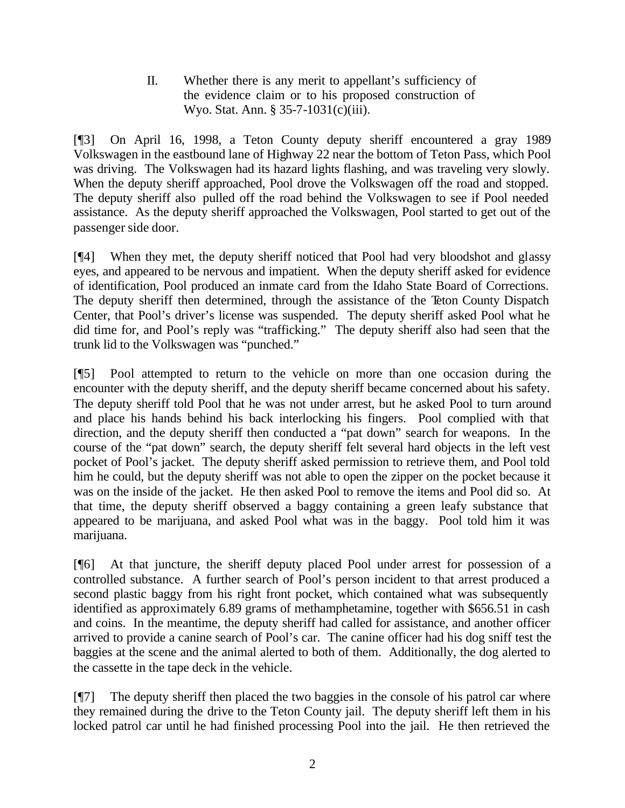II. Whether there is any merit to appellant's sufficiency of the evidence claim or to his proposed construction of Wyo. Stat. Ann. § 35-7-1031(c)(iii).

[¶3] On April 16, 1998, a Teton County deputy sheriff encountered a gray 1989 Volkswagen in the eastbound lane of Highway 22 near the bottom of Teton Pass, which Pool was driving. The Volkswagen had its hazard lights flashing, and was traveling very slowly. When the deputy sheriff approached, Pool drove the Volkswagen off the road and stopped. The deputy sheriff also pulled off the road behind the Volkswagen to see if Pool needed assistance. As the deputy sheriff approached the Volkswagen, Pool started to get out of the passenger side door.

[¶4] When they met, the deputy sheriff noticed that Pool had very bloodshot and glassy eyes, and appeared to be nervous and impatient. When the deputy sheriff asked for evidence of identification, Pool produced an inmate card from the Idaho State Board of Corrections. The deputy sheriff then determined, through the assistance of the Teton County Dispatch Center, that Pool's driver's license was suspended. The deputy sheriff asked Pool what he did time for, and Pool's reply was "trafficking." The deputy sheriff also had seen that the trunk lid to the Volkswagen was "punched."

[¶5] Pool attempted to return to the vehicle on more than one occasion during the encounter with the deputy sheriff, and the deputy sheriff became concerned about his safety. The deputy sheriff told Pool that he was not under arrest, but he asked Pool to turn around and place his hands behind his back interlocking his fingers. Pool complied with that direction, and the deputy sheriff then conducted a "pat down" search for weapons. In the course of the "pat down" search, the deputy sheriff felt several hard objects in the left vest pocket of Pool's jacket. The deputy sheriff asked permission to retrieve them, and Pool told him he could, but the deputy sheriff was not able to open the zipper on the pocket because it was on the inside of the jacket. He then asked Pool to remove the items and Pool did so. At that time, the deputy sheriff observed a baggy containing a green leafy substance that appeared to be marijuana, and asked Pool what was in the baggy. Pool told him it was marijuana.

[¶6] At that juncture, the sheriff deputy placed Pool under arrest for possession of a controlled substance. A further search of Pool's person incident to that arrest produced a second plastic baggy from his right front pocket, which contained what was subsequently identified as approximately 6.89 grams of methamphetamine, together with \$656.51 in cash and coins. In the meantime, the deputy sheriff had called for assistance, and another officer arrived to provide a canine search of Pool's car. The canine officer had his dog sniff test the baggies at the scene and the animal alerted to both of them. Additionally, the dog alerted to the cassette in the tape deck in the vehicle.

[¶7] The deputy sheriff then placed the two baggies in the console of his patrol car where they remained during the drive to the Teton County jail. The deputy sheriff left them in his locked patrol car until he had finished processing Pool into the jail. He then retrieved the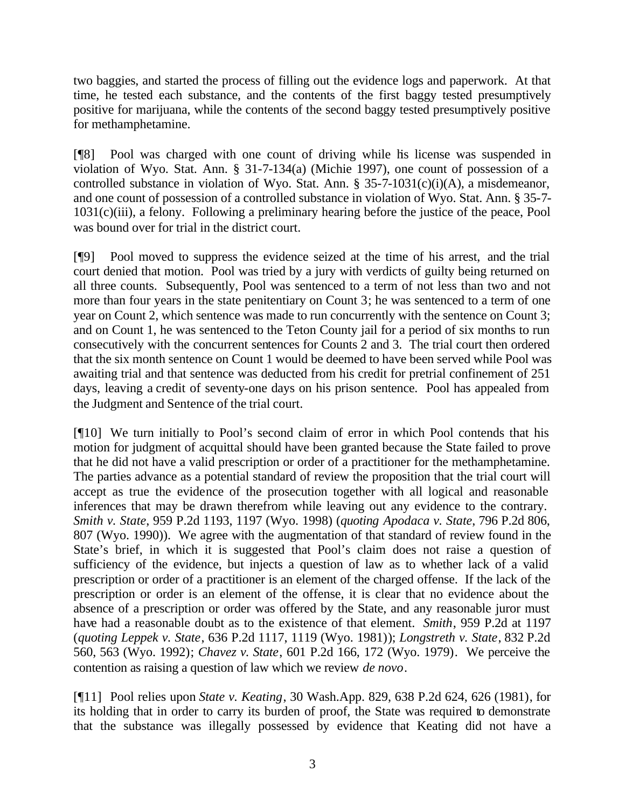two baggies, and started the process of filling out the evidence logs and paperwork. At that time, he tested each substance, and the contents of the first baggy tested presumptively positive for marijuana, while the contents of the second baggy tested presumptively positive for methamphetamine.

[¶8] Pool was charged with one count of driving while his license was suspended in violation of Wyo. Stat. Ann. § 31-7-134(a) (Michie 1997), one count of possession of a controlled substance in violation of Wyo. Stat. Ann. § 35-7-1031(c)(i)(A), a misdemeanor, and one count of possession of a controlled substance in violation of Wyo. Stat. Ann. § 35-7- 1031(c)(iii), a felony. Following a preliminary hearing before the justice of the peace, Pool was bound over for trial in the district court.

[¶9] Pool moved to suppress the evidence seized at the time of his arrest, and the trial court denied that motion. Pool was tried by a jury with verdicts of guilty being returned on all three counts. Subsequently, Pool was sentenced to a term of not less than two and not more than four years in the state penitentiary on Count 3; he was sentenced to a term of one year on Count 2, which sentence was made to run concurrently with the sentence on Count 3; and on Count 1, he was sentenced to the Teton County jail for a period of six months to run consecutively with the concurrent sentences for Counts 2 and 3. The trial court then ordered that the six month sentence on Count 1 would be deemed to have been served while Pool was awaiting trial and that sentence was deducted from his credit for pretrial confinement of 251 days, leaving a credit of seventy-one days on his prison sentence. Pool has appealed from the Judgment and Sentence of the trial court.

[¶10] We turn initially to Pool's second claim of error in which Pool contends that his motion for judgment of acquittal should have been granted because the State failed to prove that he did not have a valid prescription or order of a practitioner for the methamphetamine. The parties advance as a potential standard of review the proposition that the trial court will accept as true the evidence of the prosecution together with all logical and reasonable inferences that may be drawn therefrom while leaving out any evidence to the contrary. *Smith v. State*, 959 P.2d 1193, 1197 (Wyo. 1998) (*quoting Apodaca v. State*, 796 P.2d 806, 807 (Wyo. 1990)). We agree with the augmentation of that standard of review found in the State's brief, in which it is suggested that Pool's claim does not raise a question of sufficiency of the evidence, but injects a question of law as to whether lack of a valid prescription or order of a practitioner is an element of the charged offense. If the lack of the prescription or order is an element of the offense, it is clear that no evidence about the absence of a prescription or order was offered by the State, and any reasonable juror must have had a reasonable doubt as to the existence of that element. *Smith*, 959 P.2d at 1197 (*quoting Leppek v. State*, 636 P.2d 1117, 1119 (Wyo. 1981)); *Longstreth v. State*, 832 P.2d 560, 563 (Wyo. 1992); *Chavez v. State*, 601 P.2d 166, 172 (Wyo. 1979). We perceive the contention as raising a question of law which we review *de novo*.

[¶11] Pool relies upon *State v. Keating*, 30 Wash.App. 829, 638 P.2d 624, 626 (1981), for its holding that in order to carry its burden of proof, the State was required to demonstrate that the substance was illegally possessed by evidence that Keating did not have a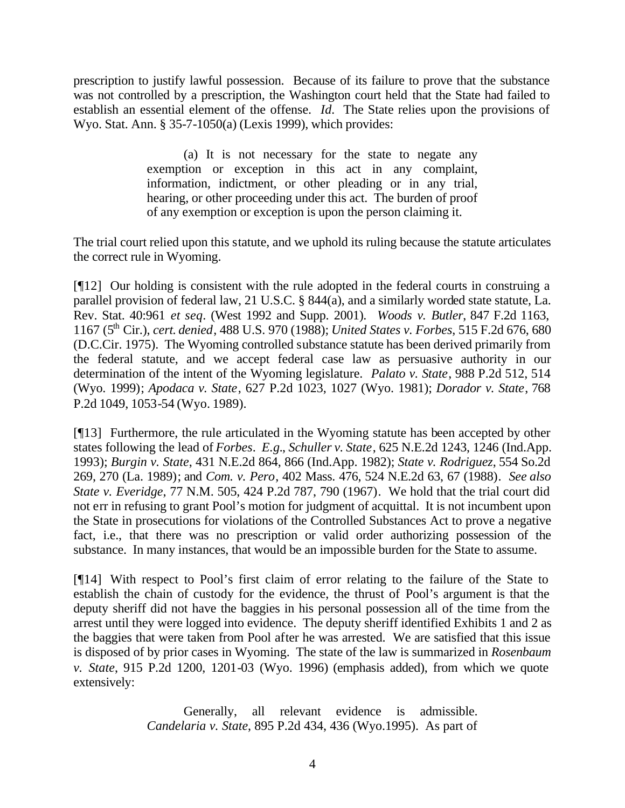prescription to justify lawful possession. Because of its failure to prove that the substance was not controlled by a prescription, the Washington court held that the State had failed to establish an essential element of the offense. *Id.* The State relies upon the provisions of Wyo. Stat. Ann. § 35-7-1050(a) (Lexis 1999), which provides:

> (a) It is not necessary for the state to negate any exemption or exception in this act in any complaint, information, indictment, or other pleading or in any trial, hearing, or other proceeding under this act. The burden of proof of any exemption or exception is upon the person claiming it.

The trial court relied upon this statute, and we uphold its ruling because the statute articulates the correct rule in Wyoming.

[¶12] Our holding is consistent with the rule adopted in the federal courts in construing a parallel provision of federal law, 21 U.S.C. § 844(a), and a similarly worded state statute, La. Rev. Stat. 40:961 *et seq*. (West 1992 and Supp. 2001). *Woods v. Butler*, 847 F.2d 1163, 1167 (5th Cir.), *cert. denied*, 488 U.S. 970 (1988); *United States v. Forbes*, 515 F.2d 676, 680 (D.C.Cir. 1975). The Wyoming controlled substance statute has been derived primarily from the federal statute, and we accept federal case law as persuasive authority in our determination of the intent of the Wyoming legislature. *Palato v. State*, 988 P.2d 512, 514 (Wyo. 1999); *Apodaca v. State*, 627 P.2d 1023, 1027 (Wyo. 1981); *Dorador v. State*, 768 P.2d 1049, 1053-54 (Wyo. 1989).

[¶13] Furthermore, the rule articulated in the Wyoming statute has been accepted by other states following the lead of *Forbes*. *E.g.*, *Schuller v. State*, 625 N.E.2d 1243, 1246 (Ind.App. 1993); *Burgin v. State*, 431 N.E.2d 864, 866 (Ind.App. 1982); *State v. Rodriguez*, 554 So.2d 269, 270 (La. 1989); and *Com. v. Pero*, 402 Mass. 476, 524 N.E.2d 63, 67 (1988). *See also State v. Everidge*, 77 N.M. 505, 424 P.2d 787, 790 (1967). We hold that the trial court did not err in refusing to grant Pool's motion for judgment of acquittal. It is not incumbent upon the State in prosecutions for violations of the Controlled Substances Act to prove a negative fact, i.e., that there was no prescription or valid order authorizing possession of the substance. In many instances, that would be an impossible burden for the State to assume.

[¶14] With respect to Pool's first claim of error relating to the failure of the State to establish the chain of custody for the evidence, the thrust of Pool's argument is that the deputy sheriff did not have the baggies in his personal possession all of the time from the arrest until they were logged into evidence. The deputy sheriff identified Exhibits 1 and 2 as the baggies that were taken from Pool after he was arrested. We are satisfied that this issue is disposed of by prior cases in Wyoming. The state of the law is summarized in *Rosenbaum v. State*, 915 P.2d 1200, 1201-03 (Wyo. 1996) (emphasis added), from which we quote extensively:

> Generally, all relevant evidence is admissible. *Candelaria v. State*, 895 P.2d 434, 436 (Wyo.1995). As part of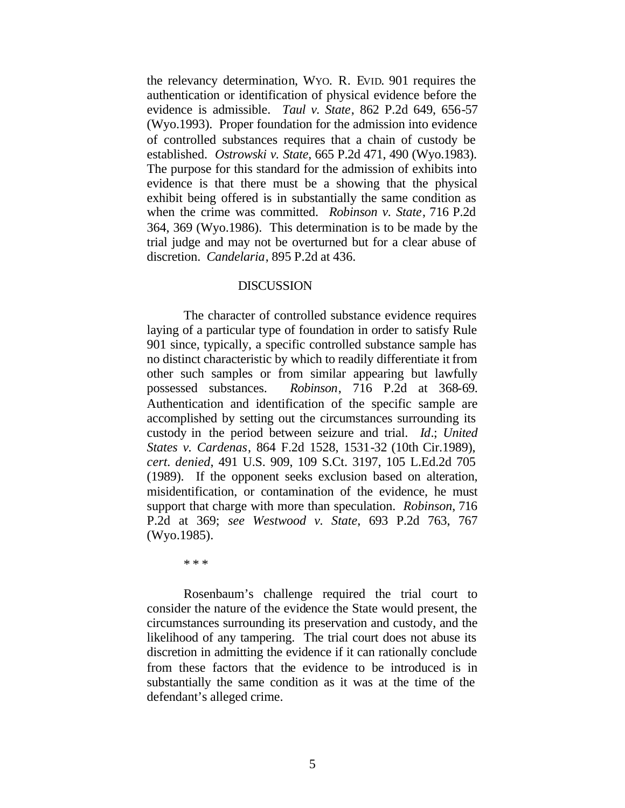the relevancy determination, WYO. R. EVID. 901 requires the authentication or identification of physical evidence before the evidence is admissible. *Taul v. State*, 862 P.2d 649, 656-57 (Wyo.1993). Proper foundation for the admission into evidence of controlled substances requires that a chain of custody be established. *Ostrowski v. State*, 665 P.2d 471, 490 (Wyo.1983). The purpose for this standard for the admission of exhibits into evidence is that there must be a showing that the physical exhibit being offered is in substantially the same condition as when the crime was committed. *Robinson v. State*, 716 P.2d 364, 369 (Wyo.1986). This determination is to be made by the trial judge and may not be overturned but for a clear abuse of discretion. *Candelaria*, 895 P.2d at 436.

#### DISCUSSION

The character of controlled substance evidence requires laying of a particular type of foundation in order to satisfy Rule 901 since, typically, a specific controlled substance sample has no distinct characteristic by which to readily differentiate it from other such samples or from similar appearing but lawfully possessed substances. *Robinson*, 716 P.2d at 368-69. Authentication and identification of the specific sample are accomplished by setting out the circumstances surrounding its custody in the period between seizure and trial. *Id*.; *United States v. Cardenas*, 864 F.2d 1528, 1531-32 (10th Cir.1989), *cert. denied*, 491 U.S. 909, 109 S.Ct. 3197, 105 L.Ed.2d 705 (1989). If the opponent seeks exclusion based on alteration, misidentification, or contamination of the evidence, he must support that charge with more than speculation. *Robinson*, 716 P.2d at 369; *see Westwood v. State*, 693 P.2d 763, 767 (Wyo.1985).

\* \* \*

Rosenbaum's challenge required the trial court to consider the nature of the evidence the State would present, the circumstances surrounding its preservation and custody, and the likelihood of any tampering. The trial court does not abuse its discretion in admitting the evidence if it can rationally conclude from these factors that the evidence to be introduced is in substantially the same condition as it was at the time of the defendant's alleged crime.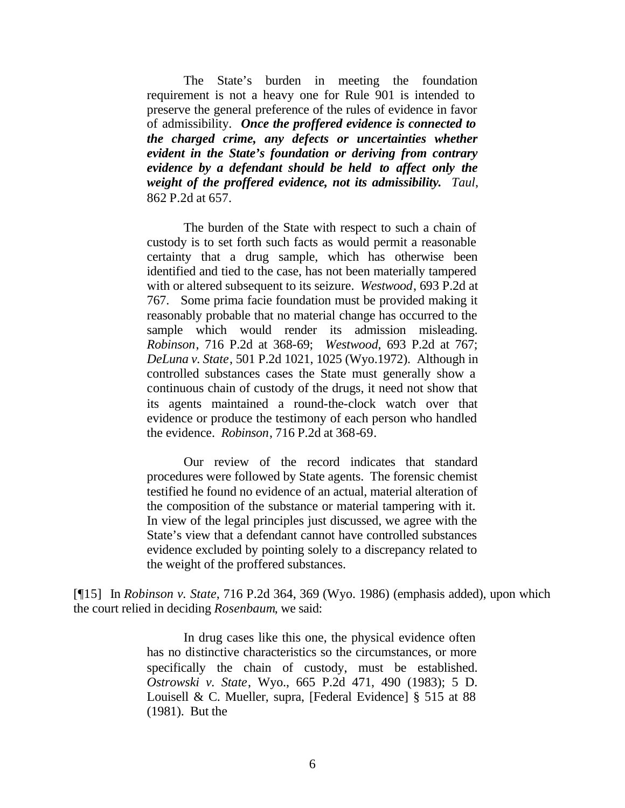The State's burden in meeting the foundation requirement is not a heavy one for Rule 901 is intended to preserve the general preference of the rules of evidence in favor of admissibility. *Once the proffered evidence is connected to the charged crime, any defects or uncertainties whether evident in the State's foundation or deriving from contrary evidence by a defendant should be held to affect only the weight of the proffered evidence, not its admissibility***.** *Taul*, 862 P.2d at 657.

The burden of the State with respect to such a chain of custody is to set forth such facts as would permit a reasonable certainty that a drug sample, which has otherwise been identified and tied to the case, has not been materially tampered with or altered subsequent to its seizure. *Westwood*, 693 P.2d at 767. Some prima facie foundation must be provided making it reasonably probable that no material change has occurred to the sample which would render its admission misleading. *Robinson*, 716 P.2d at 368-69; *Westwood*, 693 P.2d at 767; *DeLuna v. State*, 501 P.2d 1021, 1025 (Wyo.1972). Although in controlled substances cases the State must generally show a continuous chain of custody of the drugs, it need not show that its agents maintained a round-the-clock watch over that evidence or produce the testimony of each person who handled the evidence. *Robinson*, 716 P.2d at 368-69.

Our review of the record indicates that standard procedures were followed by State agents. The forensic chemist testified he found no evidence of an actual, material alteration of the composition of the substance or material tampering with it. In view of the legal principles just discussed, we agree with the State's view that a defendant cannot have controlled substances evidence excluded by pointing solely to a discrepancy related to the weight of the proffered substances.

[¶15] In *Robinson v. State*, 716 P.2d 364, 369 (Wyo. 1986) (emphasis added), upon which the court relied in deciding *Rosenbaum*, we said:

> In drug cases like this one, the physical evidence often has no distinctive characteristics so the circumstances, or more specifically the chain of custody, must be established. *Ostrowski v. State*, Wyo., 665 P.2d 471, 490 (1983); 5 D. Louisell & C. Mueller, supra, [Federal Evidence] § 515 at 88 (1981). But the